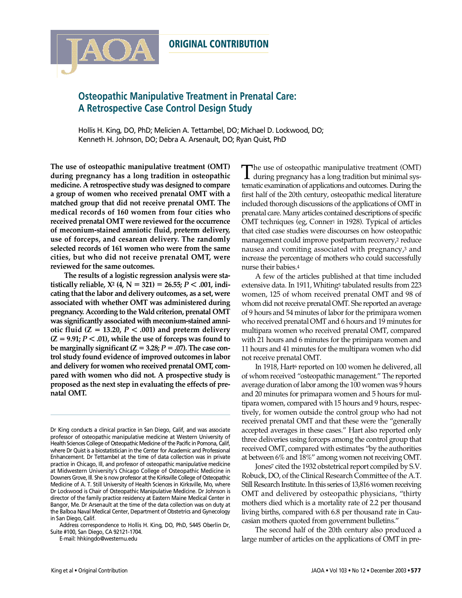# **Osteopathic Manipulative Treatment in Prenatal Care: A Retrospective Case Control Design Study**

Hollis H. King, DO, PhD; Melicien A. Tettambel, DO; Michael D. Lockwood, DO; Kenneth H. Johnson, DO; Debra A. Arsenault, DO; Ryan Quist, PhD

**The use of osteopathic manipulative treatment (OMT) during pregnancy has a long tradition in osteopathic medicine. A retrospective study was designed to compare a group of women who received prenatal OMT with a matched group that did not receive prenatal OMT. The medical records of 160 women from four cities who received prenatal OMT were reviewed for the occurrence of meconium-stained amniotic fluid, preterm delivery, use of forceps, and cesarean delivery. The randomly selected records of 161 women who were from the same cities, but who did not receive prenatal OMT, were reviewed for the same outcomes.**

A

**The results of a logistic regression analysis were statistically** reliable,  $X^2$  (4,  $N = 321$ ) = 26.55;  $P < .001$ , indi**cating that the labor and delivery outcomes, as a set, were associated with whether OMT was administered during pregnancy.** According to the Wald criterion, prenatal OMT **was significantly associated with meconium-stained amniotic fluid (Z = 13.20,**  $P < .001$ **) and preterm delivery**  $(Z = 9.91; P < .01)$ , while the use of forceps was found to **be** marginally significant  $(Z = 3.28; P = .07)$ . The case con**trol study found evidence of improved outcomes in labor and delivery for women who received prenatal OMT, compared with women who did not. A prospective study is proposed as the next step in evaluating the effects of prenatal OMT.**

E-mail: hhkingdo@westernu.edu

The use of osteopathic manipulative treatment (OMT) during pregnancy has a long tradition but minimal systematic examination of applications and outcomes. During the first half of the 20th century, osteopathic medical literature included thorough discussions of the applications of OMT in prenatal care. Many articles contained descriptions of specific OMT techniques (eg, Conner<sup>1</sup> in 1928). Typical of articles that cited case studies were discourses on how osteopathic management could improve postpartum recovery,<sup>2</sup> reduce nausea and vomiting associated with pregnancy,<sup>3</sup> and increase the percentage of mothers who could successfully nurse their babies.4

A few of the articles published at that time included extensive data. In 1911, Whiting<sub>5</sub> tabulated results from 223 women, 125 of whom received prenatal OMT and 98 of whom did not receive prenatal OMT. She reported an average of 9 hours and 54 minutes of labor for the primipara women who received prenatal OMT and 6 hours and 19 minutes for multipara women who received prenatal OMT, compared with 21 hours and 6 minutes for the primipara women and 11 hours and 41 minutes for the multipara women who did not receive prenatal OMT.

In 1918, Hart6 reported on 100 women he delivered, all of whom received "osteopathic management." The reported average duration of labor among the 100 women was 9 hours and 20 minutes for primapara women and 5 hours for multipara women, compared with 15 hours and 9 hours, respectively, for women outside the control group who had not received prenatal OMT and that these were the "generally accepted averages in these cases." Hart also reported only three deliveries using forceps among the control group that received OMT, compared with estimates "by the authorities at between 6% and 18%" among women not receiving OMT.

Jones<sup>7</sup> cited the 1932 obstetrical report compiled by S.V. Robuck, DO, of the Clinical Research Committee of the A.T. Still Research Institute. In this series of 13,816 women receiving OMT and delivered by osteopathic physicians, "thirty mothers died which is a mortality rate of 2.2 per thousand living births, compared with 6.8 per thousand rate in Caucasian mothers quoted from government bulletins."

The second half of the 20th century also produced a large number of articles on the applications of OMT in pre-

Dr King conducts a clinical practice in San Diego, Calif, and was associate professor of osteopathic manipulative medicine at Western University of Health Sciences College of Osteopathic Medicine of the Pacific in Pomona, Calif, where Dr Quist is a biostatistician in the Center for Academic and Professional Enhancement. Dr Tettambel at the time of data collection was in private practice in Chicago, Ill, and professor of osteopathic manipulative medicine at Midwestern University's Chicago College of Osteopathic Medicine in Downers Grove, Ill. She is now professor at the Kirksville College of Osteopathic Medicine of A. T. Still University of Health Sciences in Kirksville, Mo, where Dr Lockwood is Chair of Osteopathic Manipulative Medicine. Dr Johnson is director of the family practice residency at Eastern Maine Medical Center in Bangor, Me. Dr Arsenault at the time of the data collection was on duty at the Balboa Naval Medical Center, Department of Obstetrics and Gynecology in San Diego, Calif.

Address correspondence to Hollis H. King, DO, PhD, 5445 Oberlin Dr, Suite #100, San Diego, CA 92121-1704.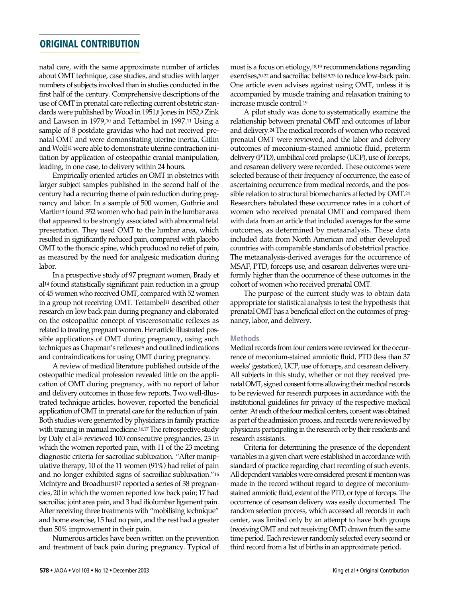natal care, with the same approximate number of articles about OMT technique, case studies, and studies with larger numbers of subjects involved than in studies conducted in the first half of the century. Comprehensive descriptions of the use of OMT in prenatal care reflecting current obstetric standards were published by Wood in  $1951\frac{3}{5}$  Jones in  $1952\frac{9}{5}$  Zink and Lawson in 1979,<sup>10</sup> and Tettambel in 1997.<sup>11</sup> Using a sample of 8 postdate gravidas who had not received prenatal OMT and were demonstrating uterine inertia, Gitlin and Wolf<sup>12</sup> were able to demonstrate uterine contraction initiation by application of osteopathic cranial manipulation, leading, in one case, to delivery within 24 hours.

Empirically oriented articles on OMT in obstetrics with larger subject samples published in the second half of the century had a recurring theme of pain reduction during pregnancy and labor. In a sample of 500 women, Guthrie and Martin<sup>13</sup> found 352 women who had pain in the lumbar area that appeared to be strongly associated with abnormal fetal presentation. They used OMT to the lumbar area, which resulted in significantly reduced pain, compared with placebo OMT to the thoracic spine, which produced no relief of pain, as measured by the need for analgesic medication during labor.

In a prospective study of 97 pregnant women, Brady et al<sup>14</sup> found statistically significant pain reduction in a group of 45 women who received OMT, compared with 52 women in a group not receiving OMT. Tettambel<sup>11</sup> described other research on low back pain during pregnancy and elaborated on the osteopathic concept of viscerosomatic reflexes as related to treating pregnant women. Her article illustrated possible applications of OMT during pregnancy, using such techniques as Chapman's reflexes<sup>15</sup> and outlined indications and contraindications for using OMT during pregnancy.

A review of medical literature published outside of the osteopathic medical profession revealed little on the application of OMT during pregnancy, with no report of labor and delivery outcomes in those few reports. Two well-illustrated technique articles, however, reported the beneficial application of OMT in prenatal care for the reduction of pain. Both studies were generated by physicians in family practice with training in manual medicine.<sup>16,17</sup> The retrospective study by Daly et al<sup>16</sup> reviewed 100 consecutive pregnancies, 23 in which the women reported pain, with 11 of the 23 meeting diagnostic criteria for sacroiliac subluxation. "After manipulative therapy, 10 of the 11 women (91%) had relief of pain and no longer exhibited signs of sacroiliac subluxation."<sup>16</sup> McIntyre and Broadhurst<sup>17</sup> reported a series of 38 pregnancies, 20 in which the women reported low back pain; 17 had sacroiliac joint area pain, and 3 had iliolumbar ligament pain. After receiving three treatments with "mobilising technique" and home exercise, 15 had no pain, and the rest had a greater than 50% improvement in their pain.

Numerous articles have been written on the prevention and treatment of back pain during pregnancy. Typical of most is a focus on etiology, $18,19$  recommendations regarding exercises, 20-22 and sacroiliac belts<sup>19,23</sup> to reduce low-back pain. One article even advises against using OMT, unless it is accompanied by muscle training and relaxation training to increase muscle control.<sup>19</sup>

A pilot study was done to systematically examine the relationship between prenatal OMT and outcomes of labor and delivery.<sup>24</sup> The medical records of women who received prenatal OMT were reviewed, and the labor and delivery outcomes of meconium-stained amniotic fluid, preterm delivery (PTD), umbilical cord prolapse (UCP), use of forceps, and cesarean delivery were recorded. These outcomes were selected because of their frequency of occurrence, the ease of ascertaining occurrence from medical records, and the possible relation to structural biomechanics affected by OMT.24 Researchers tabulated these occurrence rates in a cohort of women who received prenatal OMT and compared them with data from an article that included averages for the same outcomes, as determined by metaanalysis. These data included data from North American and other developed countries with comparable standards of obstetrical practice. The metaanalysis-derived averages for the occurrence of MSAF, PTD, forceps use, and cesarean deliveries were uniformly higher than the occurrence of these outcomes in the cohort of women who received prenatal OMT.

The purpose of the current study was to obtain data appropriate for statistical analysis to test the hypothesis that prenatal OMT has a beneficial effect on the outcomes of pregnancy, labor, and delivery.

#### **Methods**

Medical records from four centers were reviewed for the occurrence of meconium-stained amniotic fluid, PTD (less than 37 weeks' gestation), UCP, use of forceps, and cesarean delivery. All subjects in this study, whether or not they received prenatal OMT, signed consent forms allowing their medical records to be reviewed for research purposes in accordance with the institutional guidelines for privacy of the respective medical center. At each of the four medical centers, consent was obtained as part of the admission process, and records were reviewed by physicians participating in the research or by their residents and research assistants.

Criteria for determining the presence of the dependent variables in a given chart were established in accordance with standard of practice regarding chart recording of such events. All dependent variables were considered present if mention was made in the record without regard to degree of meconiumstained amniotic fluid, extent of the PTD, or type of forceps. The occurrence of cesarean delivery was easily documented. The random selection process, which accessed all records in each center, was limited only by an attempt to have both groups (receiving OMT and not receiving OMT) drawn from the same time period. Each reviewer randomly selected every second or third record from a list of births in an approximate period.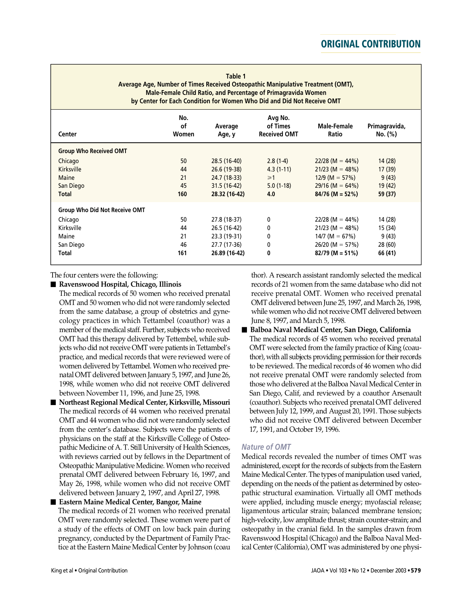**Table 1 Average Age, Number of Times Received Osteopathic Manipulative Treatment (OMT), Male-Female Child Ratio, and Percentage of Primagravida Women by Center for Each Condition for Women Who Did and Did Not Receive OMT**

| Center                               | No.<br>of<br>Women | Average<br>Age, y | Avg No.<br>of Times<br><b>Received OMT</b> | Male-Female<br>Ratio | Primagravida,<br>No. (%) |
|--------------------------------------|--------------------|-------------------|--------------------------------------------|----------------------|--------------------------|
| <b>Group Who Received OMT</b>        |                    |                   |                                            |                      |                          |
| Chicago                              | 50                 | 28.5 (16-40)      | $2.8(1-4)$                                 | $22/28$ (M = 44%)    | 14(28)                   |
| Kirksville                           | 44                 | 26.6 (19-38)      | $4.3(1-11)$                                | $21/23$ (M = 48%)    | 17(39)                   |
| Maine                                | 21                 | 24.7 (18-33)      | $\geq 1$                                   | $12/9$ (M = 57%)     | 9(43)                    |
| San Diego                            | 45                 | 31.5 (16-42)      | $5.0(1-18)$                                | $29/16$ (M = 64%)    | 19(42)                   |
| <b>Total</b>                         | 160                | 28.32 (16-42)     | 4.0                                        | $84/76$ (M = 52%)    | 59 (37)                  |
| <b>Group Who Did Not Receive OMT</b> |                    |                   |                                            |                      |                          |
| Chicago                              | 50                 | 27.8 (18-37)      | 0                                          | $22/28$ (M = 44%)    | 14 (28)                  |
| Kirksville                           | 44                 | 26.5 (16-42)      | $\mathbf{0}$                               | $21/23$ (M = 48%)    | 15 (34)                  |
| Maine                                | 21                 | 23.3 (19-31)      | 0                                          | 14/7 (M = $67\%$ )   | 9(43)                    |
| San Diego                            | 46                 | 27.7 (17-36)      | $\mathbf{0}$                               | $26/20$ (M = 57%)    | 28(60)                   |
| <b>Total</b>                         | 161                | 26.89 (16-42)     | 0                                          | $82/79$ (M = 51%)    | 66 (41)                  |

The four centers were the following:

! **Ravenswood Hospital, Chicago, Illinois**

The medical records of 50 women who received prenatal OMT and 50 women who did not were randomly selected from the same database, a group of obstetrics and gynecology practices in which Tettambel (coauthor) was a member of the medical staff. Further, subjects who received OMT had this therapy delivered by Tettembel, while subjects who did not receive OMT were patients in Tettambel's practice, and medical records that were reviewed were of women delivered by Tettambel. Women who received prenatal OMT delivered between January 5, 1997, and June 26, 1998, while women who did not receive OMT delivered between November 11, 1996, and June 25, 1998.

! **Northeast Regional Medical Center,Kirksville, Missouri** The medical records of 44 women who received prenatal OMT and 44 women who did not were randomly selected from the center's database. Subjects were the patients of physicians on the staff at the Kirksville College of Osteopathic Medicine of A. T. Still University of Health Sciences, with reviews carried out by fellows in the Department of Osteopathic Manipulative Medicine. Women who received prenatal OMT delivered between February 16, 1997, and May 26, 1998, while women who did not receive OMT delivered between January 2, 1997, and April 27, 1998.

! **Eastern Maine Medical Center, Bangor, Maine** The medical records of 21 women who received prenatal OMT were randomly selected. These women were part of a study of the effects of OMT on low back pain during pregnancy, conducted by the Department of Family Practice at the Eastern Maine Medical Center by Johnson (coau thor). A research assistant randomly selected the medical records of 21 women from the same database who did not receive prenatal OMT. Women who received prenatal OMT delivered between June 25, 1997, and March 26, 1998, while women who did not receive OMT delivered between June 8, 1997, and March 5, 1998.

### ! **Balboa Naval Medical Center, San Diego, California** The medical records of 45 women who received prenatal OMT were selected from the family practice of King (coauthor), with all subjects providing permission for their records to be reviewed. The medical records of 46 women who did not receive prenatal OMT were randomly selected from those who delivered at the Balboa Naval Medical Center in San Diego, Calif, and reviewed by a coauthor Arsenault (coauthor). Subjects who received prenatal OMT delivered between July 12, 1999, and August 20, 1991. Those subjects who did not receive OMT delivered between December 17, 1991, and October 19, 1996.

### *Nature of OMT*

Medical records revealed the number of times OMT was administered, except for the records of subjects from the Eastern Maine Medical Center. The types of manipulation used varied, depending on the needs of the patient as determined by osteopathic structural examination. Virtually all OMT methods were applied, including muscle energy; myofascial release; ligamentous articular strain; balanced membrane tension; high-velocity, low amplitude thrust; strain counter-strain; and osteopathy in the cranial field. In the samples drawn from Ravenswood Hospital (Chicago) and the Balboa Naval Medical Center (California), OMT was administered by one physi-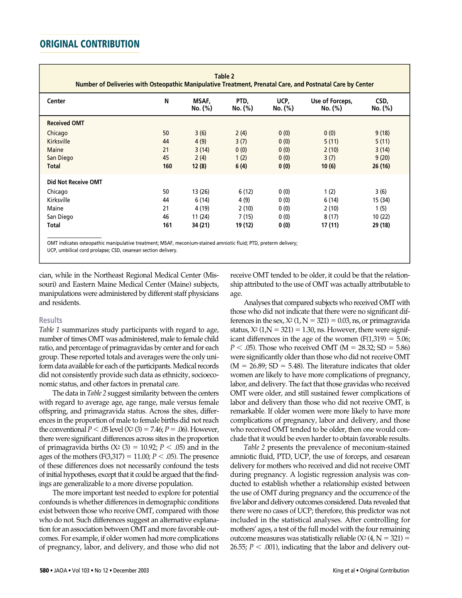| Center                     | N   | MSAF,<br>No. (%) | PTD,<br>No. (%) | UCP,<br>No. (%) | Use of Forceps,<br>No. (%) | CSD,<br>No. (%) |
|----------------------------|-----|------------------|-----------------|-----------------|----------------------------|-----------------|
| <b>Received OMT</b>        |     |                  |                 |                 |                            |                 |
| Chicago                    | 50  | 3(6)             | 2(4)            | 0(0)            | 0(0)                       | 9(18)           |
| Kirksville                 | 44  | 4(9)             | 3(7)            | 0(0)            | 5(11)                      | 5(11)           |
| Maine                      | 21  | 3(14)            | 0(0)            | 0(0)            | 2(10)                      | 3(14)           |
| San Diego                  | 45  | 2(4)             | 1(2)            | 0(0)            | 3(7)                       | 9(20)           |
| <b>Total</b>               | 160 | 12(8)            | 6(4)            | 0(0)            | 10(6)                      | 26(16)          |
| <b>Did Not Receive OMT</b> |     |                  |                 |                 |                            |                 |
| Chicago                    | 50  | 13 (26)          | 6(12)           | 0(0)            | 1(2)                       | 3(6)            |
| Kirksville                 | 44  | 6(14)            | 4 (9)           | 0(0)            | 6(14)                      | 15 (34)         |
| Maine                      | 21  | 4 (19)           | 2(10)           | 0(0)            | 2(10)                      | 1(5)            |
| San Diego                  | 46  | 11 (24)          | 7(15)           | 0(0)            | 8(17)                      | 10(22)          |
| Total                      | 161 | 34 (21)          | 19 (12)         | 0(0)            | 17 (11)                    | 29 (18)         |

cian, while in the Northeast Regional Medical Center (Missouri) and Eastern Maine Medical Center (Maine) subjects, manipulations were administered by different staff physicians and residents.

#### **Results**

*Table 1* summarizes study participants with regard to age, number of times OMT was administered, male to female child ratio, and percentage of primagravidas by center and for each group. These reported totals and averages were the only uniform data available for each of the participants. Medical records did not consistently provide such data as ethnicity, socioeconomic status, and other factors in prenatal care.

The data in *Table 2* suggest similarity between the centers with regard to average age, age range, male versus female offspring, and primagravida status. Across the sites, differences in the proportion of male to female births did not reach the conventional *P* < .05 level (X<sup>2</sup> (3) = 7.46; *P* = .06). However, there were significant differences across sites in the proportion of primagravida births  $(X^2 (3) = 10.92; P < .05)$  and in the ages of the mothers ( $F(3,317) = 11.00; P < .05$ ). The presence of these differences does not necessarily confound the tests of initial hypotheses, except that it could be argued that the findings are generalizable to a more diverse population.

The more important test needed to explore for potential confounds is whether differences in demographic conditions exist between those who receive OMT, compared with those who do not. Such differences suggest an alternative explanation for an association between OMT and more favorable outcomes. For example, if older women had more complications of pregnancy, labor, and delivery, and those who did not receive OMT tended to be older, it could be that the relationship attributed to the use of OMT was actually attributable to age.

Analyses that compared subjects who received OMT with those who did not indicate that there were no significant differences in the sex,  $X^2$  (1,  $N = 321$ ) = 0.03, ns, or primagravida status,  $X^2$  (1, $N = 321$ ) = 1.30, ns. However, there were significant differences in the age of the women  $(F(1,319) = 5.06;$ *P* < .05). Those who received OMT (M = 28.32; SD = 5.86) were significantly older than those who did not receive OMT  $(M = 26.89; SD = 5.48)$ . The literature indicates that older women are likely to have more complications of pregnancy, labor, and delivery. The fact that those gravidas who received OMT were older, and still sustained fewer complications of labor and delivery than those who did not receive OMT, is remarkable. If older women were more likely to have more complications of pregnancy, labor and delivery, and those who received OMT tended to be older, then one would conclude that it would be even harder to obtain favorable results.

*Table 2* presents the prevalence of meconium-stained amniotic fluid, PTD, UCP, the use of forceps, and cesarean delivery for mothers who received and did not receive OMT during pregnancy. A logistic regression analysis was conducted to establish whether a relationship existed between the use of OMT during pregnancy and the occurrence of the five labor and delivery outcomes considered. Data revealed that there were no cases of UCP; therefore, this predictor was not included in the statistical analyses. After controlling for mothers' ages, a test of the full model with the four remaining outcome measures was statistically reliable  $(X^2(4, N = 321) =$ 26.55;  $P < .001$ ), indicating that the labor and delivery out-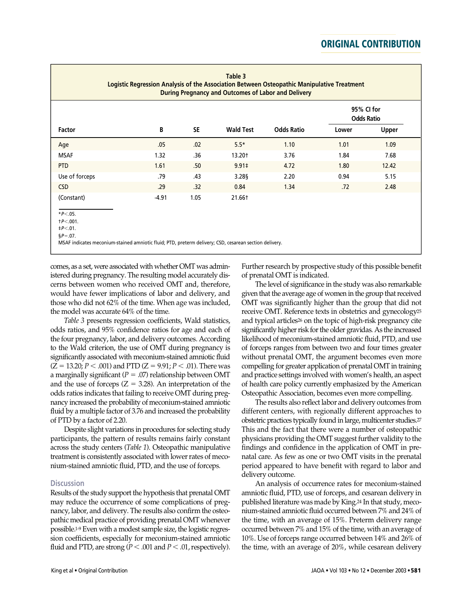|                                                                                                                                               |         |      | Table 3<br><b>During Pregnancy and Outcomes of Labor and Delivery</b> | Logistic Regression Analysis of the Association Between Osteopathic Manipulative Treatment | 95% CI for<br><b>Odds Ratio</b> |              |
|-----------------------------------------------------------------------------------------------------------------------------------------------|---------|------|-----------------------------------------------------------------------|--------------------------------------------------------------------------------------------|---------------------------------|--------------|
| Factor                                                                                                                                        | B       | SE.  | <b>Wald Test</b>                                                      | <b>Odds Ratio</b>                                                                          | Lower                           | <b>Upper</b> |
| Age                                                                                                                                           | .05     | .02  | $5.5*$                                                                | 1.10                                                                                       | 1.01                            | 1.09         |
| <b>MSAF</b>                                                                                                                                   | 1.32    | .36  | 13.20†                                                                | 3.76                                                                                       | 1.84                            | 7.68         |
| <b>PTD</b>                                                                                                                                    | 1.61    | .50  | $9.91 \pm$                                                            | 4.72                                                                                       | 1.80                            | 12.42        |
| Use of forceps                                                                                                                                | .79     | .43  | 3.28§                                                                 | 2.20                                                                                       | 0.94                            | 5.15         |
| <b>CSD</b>                                                                                                                                    | .29     | .32  | 0.84                                                                  | 1.34                                                                                       | .72                             | 2.48         |
| (Constant)                                                                                                                                    | $-4.91$ | 1.05 | 21.66†                                                                |                                                                                            |                                 |              |
| $*P<.05.$<br>$+P<.001$ .                                                                                                                      |         |      |                                                                       |                                                                                            |                                 |              |
| $\texttt{+}P<.01$ .<br>$$P = .07$ .<br>MSAF indicates meconium-stained amniotic fluid; PTD, preterm delivery; CSD, cesarean section delivery. |         |      |                                                                       |                                                                                            |                                 |              |

comes, as a set, were associated with whether OMT was administered during pregnancy. The resulting model accurately discerns between women who received OMT and, therefore, would have fewer implications of labor and delivery, and those who did not 62% of the time. When age was included, the model was accurate 64% of the time.

*Table 3* presents regression coefficients, Wald statistics, odds ratios, and 95% confidence ratios for age and each of the four pregnancy, labor, and delivery outcomes. According to the Wald criterion, the use of OMT during pregnancy is significantly associated with meconium-stained amniotic fluid  $(Z = 13.20; P < .001)$  and PTD  $(Z = 9.91; P < .01)$ . There was a marginally significant ( $P = .07$ ) relationship between OMT and the use of forceps  $(Z = 3.28)$ . An interpretation of the odds ratios indicates that failing to receive OMT during pregnancy increased the probability of meconium-stained amniotic fluid by a multiple factor of 3.76 and increased the probability of PTD by a factor of 2.20.

Despite slight variations in procedures for selecting study participants, the pattern of results remains fairly constant across the study centers (*Table 1*). Osteopathic manipulative treatment is consistently associated with lower rates of meconium-stained amniotic fluid, PTD, and the use of forceps.

#### **Discussion**

Results of the study support the hypothesis that prenatal OMT may reduce the occurrence of some complications of pregnancy, labor, and delivery. The results also confirm the osteopathic medical practice of providing prenatal OMT whenever possible.<sup>1.9</sup> Even with a modest sample size, the logistic regression coefficients, especially for meconium-stained amniotic fluid and PTD, are strong ( $P < .001$  and  $P < .01$ , respectively).

Further research by prospective study of this possible benefit of prenatal OMT is indicated.

The level of significance in the study was also remarkable given that the average age of women in the group that received OMT was significantly higher than the group that did not receive OMT. Reference texts in obstetrics and gynecology<sup>25</sup> and typical articles<sup>26</sup> on the topic of high-risk pregnancy cite significantly higher risk for the older gravidas. As the increased likelihood of meconium-stained amniotic fluid, PTD, and use of forceps ranges from between two and four times greater without prenatal OMT, the argument becomes even more compelling for greater application of prenatal OMT in training and practice settings involved with women's health, an aspect of health care policy currently emphasized by the American Osteopathic Association, becomes even more compelling.

The results also reflect labor and delivery outcomes from different centers, with regionally different approaches to obstetric practices typically found in large, multicenter studies.<sup>27</sup> This and the fact that there were a number of osteopathic physicians providing the OMT suggest further validity to the findings and confidence in the application of OMT in prenatal care. As few as one or two OMT visits in the prenatal period appeared to have benefit with regard to labor and delivery outcome.

An analysis of occurrence rates for meconium-stained amniotic fluid, PTD, use of forceps, and cesarean delivery in published literature was made by King.<sup>24</sup> In that study, meconium-stained amniotic fluid occurred between 7% and 24% of the time, with an average of 15%. Preterm delivery range occurred between 7% and 15% of the time, with an average of 10%. Use of forceps range occurred between 14% and 26% of the time, with an average of 20%, while cesarean delivery